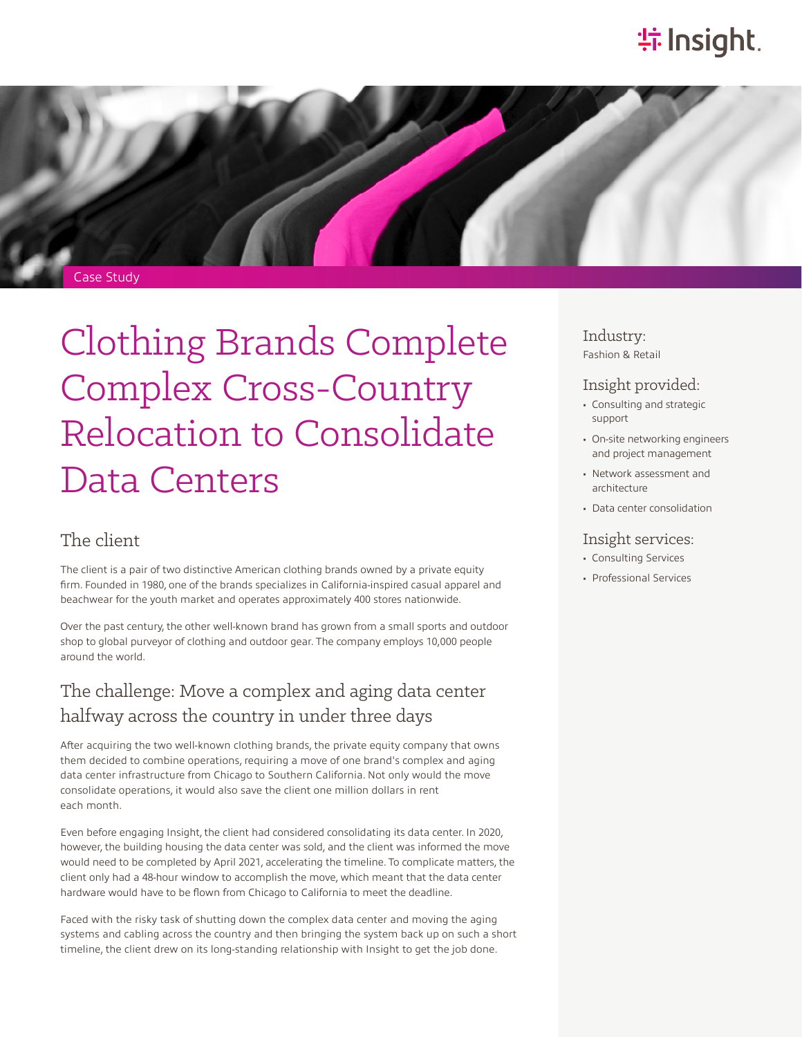# **特Insight**



Case Study

Clothing Brands Complete Complex Cross-Country Relocation to Consolidate Data Centers

### The client

The client is a pair of two distinctive American clothing brands owned by a private equity firm. Founded in 1980, one of the brands specializes in California-inspired casual apparel and beachwear for the youth market and operates approximately 400 stores nationwide.

Over the past century, the other well-known brand has grown from a small sports and outdoor shop to global purveyor of clothing and outdoor gear. The company employs 10,000 people around the world.

# The challenge: Move a complex and aging data center halfway across the country in under three days

After acquiring the two well-known clothing brands, the private equity company that owns them decided to combine operations, requiring a move of one brand's complex and aging data center infrastructure from Chicago to Southern California. Not only would the move consolidate operations, it would also save the client one million dollars in rent each month.

Even before engaging Insight, the client had considered consolidating its data center. In 2020, however, the building housing the data center was sold, and the client was informed the move would need to be completed by April 2021, accelerating the timeline. To complicate matters, the client only had a 48-hour window to accomplish the move, which meant that the data center hardware would have to be flown from Chicago to California to meet the deadline.

Faced with the risky task of shutting down the complex data center and moving the aging systems and cabling across the country and then bringing the system back up on such a short timeline, the client drew on its long-standing relationship with Insight to get the job done.

Industry: Fashion & Retail

### Insight provided:

- Consulting and strategic support
- On-site networking engineers and project management
- Network assessment and architecture
- Data center consolidation

#### Insight services:

- Consulting Services
- Professional Services